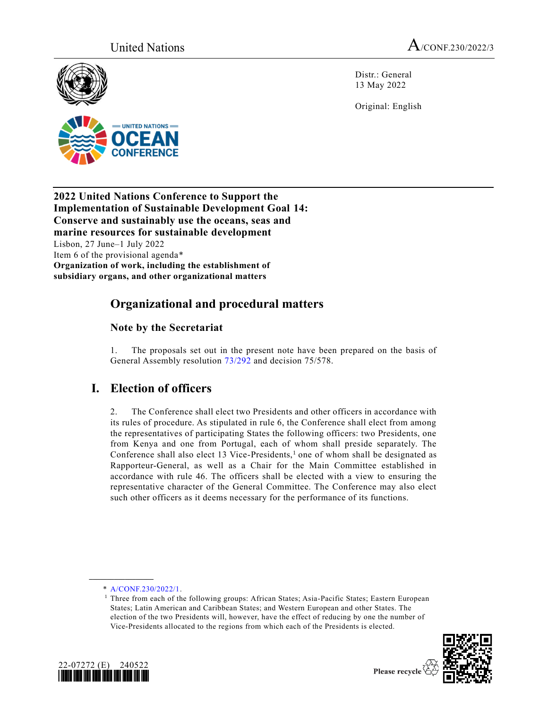$=$  UNITED NATIONS  $=$ 



Distr.: General 13 May 2022

Original: English



# **Organizational and procedural matters**

## **Note by the Secretariat**

1. The proposals set out in the present note have been prepared on the basis of General Assembly resolution [73/292](https://undocs.org/en/A/RES/73/292) and decision 75/578.

# **I. Election of officers**

2. The Conference shall elect two Presidents and other officers in accordance with its rules of procedure. As stipulated in rule 6, the Conference shall elect from among the representatives of participating States the following officers: two Presidents, one from Kenya and one from Portugal, each of whom shall preside separately. The Conference shall also elect 13 Vice-Presidents,<sup>1</sup> one of whom shall be designated as Rapporteur-General, as well as a Chair for the Main Committee established in accordance with rule 46. The officers shall be elected with a view to ensuring the representative character of the General Committee. The Conference may also elect such other officers as it deems necessary for the performance of its functions.

\* [A/CONF.230/2022/1.](https://undocs.org/en/A/CONF.230/2022/1)

**\_\_\_\_\_\_\_\_\_\_\_\_\_\_\_\_\_\_**

<sup>&</sup>lt;sup>1</sup> Three from each of the following groups: African States; Asia-Pacific States; Eastern European States; Latin American and Caribbean States; and Western European and other States. The election of the two Presidents will, however, have the effect of reducing by one the number of Vice-Presidents allocated to the regions from which each of the Presidents is elected.



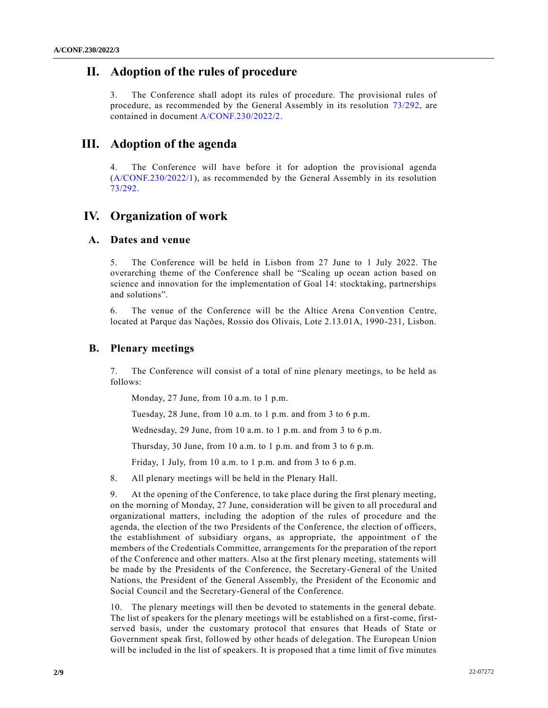## **II. Adoption of the rules of procedure**

3. The Conference shall adopt its rules of procedure. The provisional rules of procedure, as recommended by the General Assembly in its resolution [73/292,](https://undocs.org/en/A/RES/73/292) are contained in document [A/CONF.230/2022/2.](https://undocs.org/en/A/CONF.230/2022/2)

## **III. Adoption of the agenda**

The Conference will have before it for adoption the provisional agenda [\(A/CONF.230/2022/1\)](https://undocs.org/en/A/CONF.230/2022/1), as recommended by the General Assembly in its resolution [73/292.](https://undocs.org/en/A/RES/73/292)

## **IV. Organization of work**

#### **A. Dates and venue**

5. The Conference will be held in Lisbon from 27 June to 1 July 2022. The overarching theme of the Conference shall be "Scaling up ocean action based on science and innovation for the implementation of Goal 14: stocktaking, partnerships and solutions".

6. The venue of the Conference will be the Altice Arena Convention Centre, located at Parque das Nações, Rossio dos Olivais, Lote 2.13.01A, 1990-231, Lisbon.

#### **B. Plenary meetings**

7. The Conference will consist of a total of nine plenary meetings, to be held as follows:

Monday, 27 June, from 10 a.m. to 1 p.m.

Tuesday, 28 June, from 10 a.m. to 1 p.m. and from 3 to 6 p.m.

Wednesday, 29 June, from 10 a.m. to 1 p.m. and from 3 to 6 p.m.

Thursday, 30 June, from 10 a.m. to 1 p.m. and from 3 to 6 p.m.

Friday, 1 July, from 10 a.m. to 1 p.m. and from 3 to 6 p.m.

8. All plenary meetings will be held in the Plenary Hall.

9. At the opening of the Conference, to take place during the first plenary meeting, on the morning of Monday, 27 June, consideration will be given to all procedural and organizational matters, including the adoption of the rules of procedure and the agenda, the election of the two Presidents of the Conference, the election of officers, the establishment of subsidiary organs, as appropriate, the appointment of the members of the Credentials Committee, arrangements for the preparation of the report of the Conference and other matters. Also at the first plenary meeting, statements will be made by the Presidents of the Conference, the Secretary-General of the United Nations, the President of the General Assembly, the President of the Economic and Social Council and the Secretary-General of the Conference.

10. The plenary meetings will then be devoted to statements in the general debate. The list of speakers for the plenary meetings will be established on a first-come, firstserved basis, under the customary protocol that ensures that Heads of State or Government speak first, followed by other heads of delegation. The European Union will be included in the list of speakers. It is proposed that a time limit of five minutes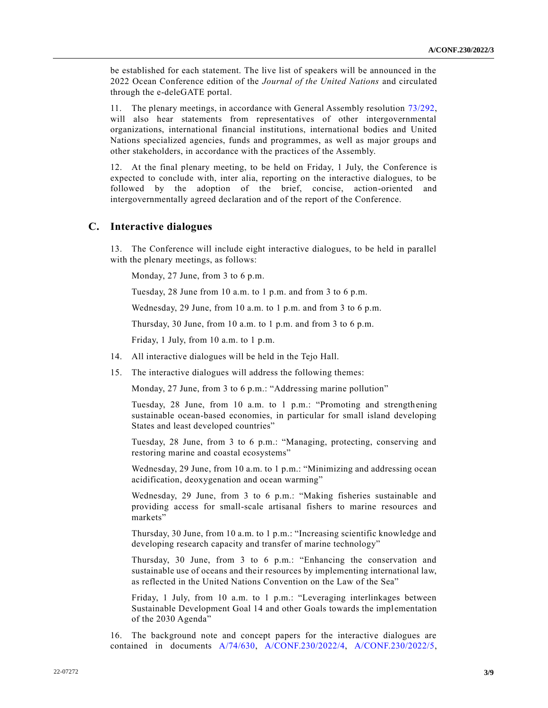be established for each statement. The live list of speakers will be announced in the 2022 Ocean Conference edition of the *Journal of the United Nations* and circulated through the e-deleGATE portal.

11. The plenary meetings, in accordance with General Assembly resolution [73/292,](https://undocs.org/en/A/RES/73/292) will also hear statements from representatives of other intergovernmental organizations, international financial institutions, international bodies and United Nations specialized agencies, funds and programmes, as well as major groups and other stakeholders, in accordance with the practices of the Assembly.

12. At the final plenary meeting, to be held on Friday, 1 July, the Conference is expected to conclude with, inter alia, reporting on the interactive dialogues, to be followed by the adoption of the brief, concise, action-oriented and intergovernmentally agreed declaration and of the report of the Conference.

#### **C. Interactive dialogues**

13. The Conference will include eight interactive dialogues, to be held in parallel with the plenary meetings, as follows:

Monday, 27 June, from 3 to 6 p.m.

Tuesday, 28 June from 10 a.m. to 1 p.m. and from 3 to 6 p.m.

Wednesday, 29 June, from 10 a.m. to 1 p.m. and from 3 to 6 p.m.

Thursday, 30 June, from 10 a.m. to 1 p.m. and from 3 to 6 p.m.

Friday, 1 July, from 10 a.m. to 1 p.m.

- 14. All interactive dialogues will be held in the Tejo Hall.
- 15. The interactive dialogues will address the following themes:

Monday, 27 June, from 3 to 6 p.m.: "Addressing marine pollution"

Tuesday, 28 June, from 10 a.m. to 1 p.m.: "Promoting and strengthening sustainable ocean-based economies, in particular for small island developing States and least developed countries"

Tuesday, 28 June, from 3 to 6 p.m.: "Managing, protecting, conserving and restoring marine and coastal ecosystems"

Wednesday, 29 June, from 10 a.m. to 1 p.m.: "Minimizing and addressing ocean acidification, deoxygenation and ocean warming"

Wednesday, 29 June, from 3 to 6 p.m.: "Making fisheries sustainable and providing access for small-scale artisanal fishers to marine resources and markets"

Thursday, 30 June, from 10 a.m. to 1 p.m.: "Increasing scientific knowledge and developing research capacity and transfer of marine technology"

Thursday, 30 June, from 3 to 6 p.m.: "Enhancing the conservation and sustainable use of oceans and their resources by implementing international law, as reflected in the United Nations Convention on the Law of the Sea"

Friday, 1 July, from 10 a.m. to 1 p.m.: "Leveraging interlinkages between Sustainable Development Goal 14 and other Goals towards the implementation of the 2030 Agenda"

16. The background note and concept papers for the interactive dialogues are contained in documents [A/74/630,](https://undocs.org/en/A/74/630) [A/CONF.230/2022/4,](https://undocs.org/en/A/CONF.230/2022/4) [A/CONF.230/2022/5,](https://undocs.org/en/A/CONF.230/2022/5)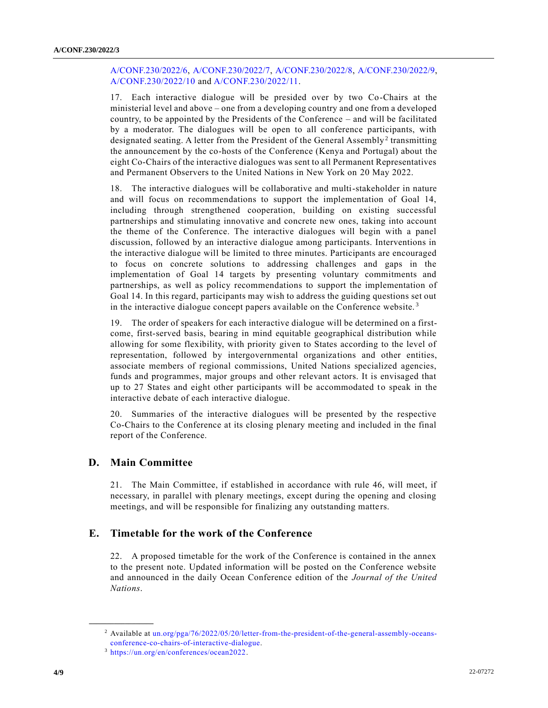#### [A/CONF.230/2022/6,](https://undocs.org/en/A/CONF.230/2022/6) [A/CONF.230/2022/7,](https://undocs.org/en/A/CONF.230/2022/7) [A/CONF.230/2022/8,](https://undocs.org/en/A/CONF.230/2022/8) [A/CONF.230/2022/9,](https://undocs.org/en/A/CONF.230/2022/9) [A/CONF.230/2022/10](https://undocs.org/en/A/CONF.230/2022/10) and [A/CONF.230/2022/11.](https://undocs.org/en/A/CONF.230/2022/11)

17. Each interactive dialogue will be presided over by two Co-Chairs at the ministerial level and above – one from a developing country and one from a developed country, to be appointed by the Presidents of the Conference – and will be facilitated by a moderator. The dialogues will be open to all conference participants, with designated seating. A letter from the President of the General Assembly<sup>2</sup> transmitting the announcement by the co-hosts of the Conference (Kenya and Portugal) about the eight Co-Chairs of the interactive dialogues was sent to all Permanent Representatives and Permanent Observers to the United Nations in New York on 20 May 2022.

18. The interactive dialogues will be collaborative and multi-stakeholder in nature and will focus on recommendations to support the implementation of Goal 14, including through strengthened cooperation, building on existing successful partnerships and stimulating innovative and concrete new ones, taking into account the theme of the Conference. The interactive dialogues will begin with a panel discussion, followed by an interactive dialogue among participants. Interventions in the interactive dialogue will be limited to three minutes. Participants are encouraged to focus on concrete solutions to addressing challenges and gaps in the implementation of Goal 14 targets by presenting voluntary commitments and partnerships, as well as policy recommendations to support the implementation of Goal 14. In this regard, participants may wish to address the guiding questions set out in the interactive dialogue concept papers available on the Conference website.<sup>3</sup>

19. The order of speakers for each interactive dialogue will be determined on a firstcome, first-served basis, bearing in mind equitable geographical distribution while allowing for some flexibility, with priority given to States according to the level of representation, followed by intergovernmental organizations and other entities, associate members of regional commissions, United Nations specialized agencies, funds and programmes, major groups and other relevant actors. It is envisaged that up to 27 States and eight other participants will be accommodated to speak in the interactive debate of each interactive dialogue.

20. Summaries of the interactive dialogues will be presented by the respective Co-Chairs to the Conference at its closing plenary meeting and included in the final report of the Conference.

#### **D. Main Committee**

**\_\_\_\_\_\_\_\_\_\_\_\_\_\_\_\_\_\_**

21. The Main Committee, if established in accordance with rule 46, will meet, if necessary, in parallel with plenary meetings, except during the opening and closing meetings, and will be responsible for finalizing any outstanding matters.

#### **E. Timetable for the work of the Conference**

22. A proposed timetable for the work of the Conference is contained in the annex to the present note. Updated information will be posted on the Conference website and announced in the daily Ocean Conference edition of the *Journal of the United Nations*.

<sup>2</sup> Available at [un.org/pga/76/2022/05/20/letter-from-the-president-of-the-general-assembly-oceans](https://www.un.org/pga/76/2022/05/20/letter-from-the-president-of-the-general-assembly-oceans-conference-co-chairs-of-interactive-dialogue)[conference-co-chairs-of-interactive-dialogue.](https://www.un.org/pga/76/2022/05/20/letter-from-the-president-of-the-general-assembly-oceans-conference-co-chairs-of-interactive-dialogue)

<sup>3</sup> [https://un.org/en/conferences/ocean2022.](https://un.org/en/conferences/ocean2022)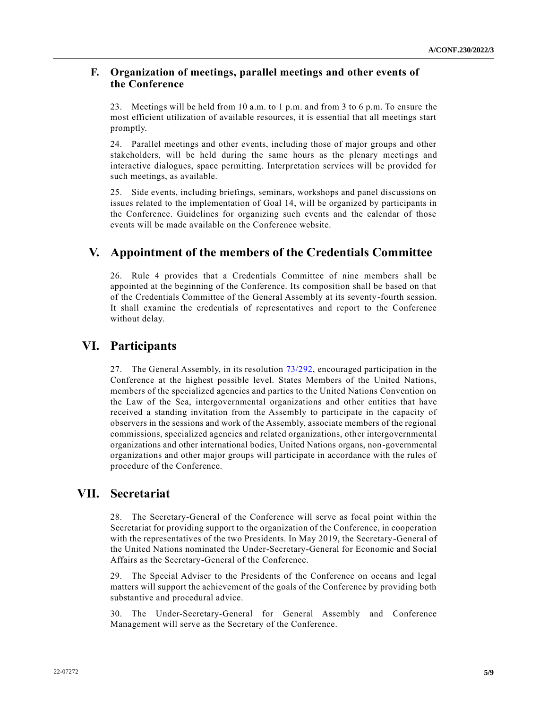#### **F. Organization of meetings, parallel meetings and other events of the Conference**

23. Meetings will be held from 10 a.m. to 1 p.m. and from 3 to 6 p.m. To ensure the most efficient utilization of available resources, it is essential that all meetings start promptly.

24. Parallel meetings and other events, including those of major groups and other stakeholders, will be held during the same hours as the plenary meetings and interactive dialogues, space permitting. Interpretation services will be provided for such meetings, as available.

25. Side events, including briefings, seminars, workshops and panel discussions on issues related to the implementation of Goal 14, will be organized by participants in the Conference. Guidelines for organizing such events and the calendar of those events will be made available on the Conference website.

## **V. Appointment of the members of the Credentials Committee**

26. Rule 4 provides that a Credentials Committee of nine members shall be appointed at the beginning of the Conference. Its composition shall be based on that of the Credentials Committee of the General Assembly at its seventy-fourth session. It shall examine the credentials of representatives and report to the Conference without delay.

### **VI. Participants**

27. The General Assembly, in its resolution [73/292,](https://undocs.org/en/A/RES/73/292) encouraged participation in the Conference at the highest possible level. States Members of the United Nations, members of the specialized agencies and parties to the United Nations Convention on the Law of the Sea, intergovernmental organizations and other entities that have received a standing invitation from the Assembly to participate in the capacity of observers in the sessions and work of the Assembly, associate members of the regional commissions, specialized agencies and related organizations, other intergovernmental organizations and other international bodies, United Nations organs, non-governmental organizations and other major groups will participate in accordance with the rules of procedure of the Conference.

## **VII. Secretariat**

28. The Secretary-General of the Conference will serve as focal point within the Secretariat for providing support to the organization of the Conference, in cooperation with the representatives of the two Presidents. In May 2019, the Secretary-General of the United Nations nominated the Under-Secretary-General for Economic and Social Affairs as the Secretary-General of the Conference.

29. The Special Adviser to the Presidents of the Conference on oceans and legal matters will support the achievement of the goals of the Conference by providing both substantive and procedural advice.

30. The Under-Secretary-General for General Assembly and Conference Management will serve as the Secretary of the Conference.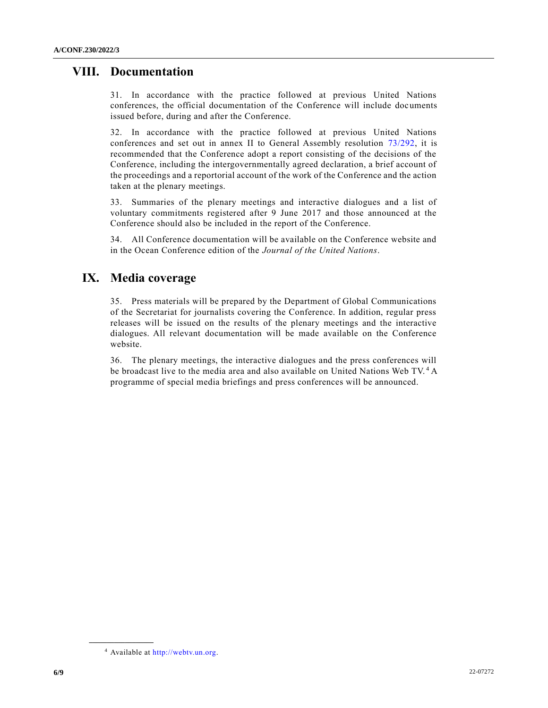## **VIII. Documentation**

31. In accordance with the practice followed at previous United Nations conferences, the official documentation of the Conference will include documents issued before, during and after the Conference.

32. In accordance with the practice followed at previous United Nations conferences and set out in annex II to General Assembly resolution [73/292,](https://undocs.org/en/A/RES/73/292) it is recommended that the Conference adopt a report consisting of the decisions of the Conference, including the intergovernmentally agreed declaration, a brief account of the proceedings and a reportorial account of the work of the Conference and the action taken at the plenary meetings.

33. Summaries of the plenary meetings and interactive dialogues and a list of voluntary commitments registered after 9 June 2017 and those announced at the Conference should also be included in the report of the Conference.

34. All Conference documentation will be available on the Conference website and in the Ocean Conference edition of the *Journal of the United Nations*.

## **IX. Media coverage**

35. Press materials will be prepared by the Department of Global Communications of the Secretariat for journalists covering the Conference. In addition, regular press releases will be issued on the results of the plenary meetings and the interactive dialogues. All relevant documentation will be made available on the Conference website.

36. The plenary meetings, the interactive dialogues and the press conferences will be broadcast live to the media area and also available on United Nations Web TV. <sup>4</sup> A programme of special media briefings and press conferences will be announced.

**\_\_\_\_\_\_\_\_\_\_\_\_\_\_\_\_\_\_**

<sup>4</sup> Available at [http://webtv.un.org.](http://webtv.un.org/)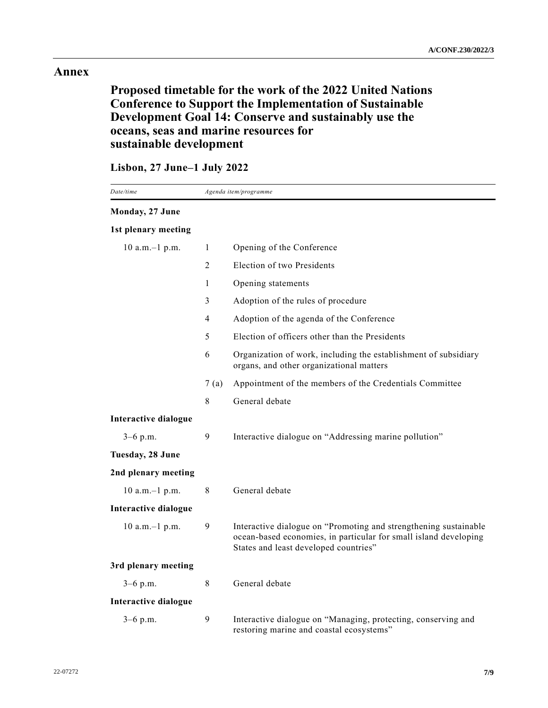### **Annex**

# **Proposed timetable for the work of the 2022 United Nations Conference to Support the Implementation of Sustainable Development Goal 14: Conserve and sustainably use the oceans, seas and marine resources for sustainable development**

## **Lisbon, 27 June–1 July 2022**

| Date/time            |      | Agenda item/programme                                                                                                                                                         |
|----------------------|------|-------------------------------------------------------------------------------------------------------------------------------------------------------------------------------|
| Monday, 27 June      |      |                                                                                                                                                                               |
| 1st plenary meeting  |      |                                                                                                                                                                               |
| 10 a.m.-1 p.m.       | 1    | Opening of the Conference                                                                                                                                                     |
|                      | 2    | Election of two Presidents                                                                                                                                                    |
|                      | 1    | Opening statements                                                                                                                                                            |
|                      | 3    | Adoption of the rules of procedure                                                                                                                                            |
|                      | 4    | Adoption of the agenda of the Conference                                                                                                                                      |
|                      | 5    | Election of officers other than the Presidents                                                                                                                                |
|                      | 6    | Organization of work, including the establishment of subsidiary<br>organs, and other organizational matters                                                                   |
|                      | 7(a) | Appointment of the members of the Credentials Committee                                                                                                                       |
|                      | 8    | General debate                                                                                                                                                                |
| Interactive dialogue |      |                                                                                                                                                                               |
| $3-6$ p.m.           | 9    | Interactive dialogue on "Addressing marine pollution"                                                                                                                         |
| Tuesday, 28 June     |      |                                                                                                                                                                               |
| 2nd plenary meeting  |      |                                                                                                                                                                               |
| $10$ a.m. $-1$ p.m.  | 8    | General debate                                                                                                                                                                |
| Interactive dialogue |      |                                                                                                                                                                               |
| $10$ a.m. $-1$ p.m.  | 9    | Interactive dialogue on "Promoting and strengthening sustainable<br>ocean-based economies, in particular for small island developing<br>States and least developed countries" |
| 3rd plenary meeting  |      |                                                                                                                                                                               |
| $3-6$ p.m.           | 8    | General debate                                                                                                                                                                |
| Interactive dialogue |      |                                                                                                                                                                               |
| $3-6$ p.m.           | 9    | Interactive dialogue on "Managing, protecting, conserving and<br>restoring marine and coastal ecosystems"                                                                     |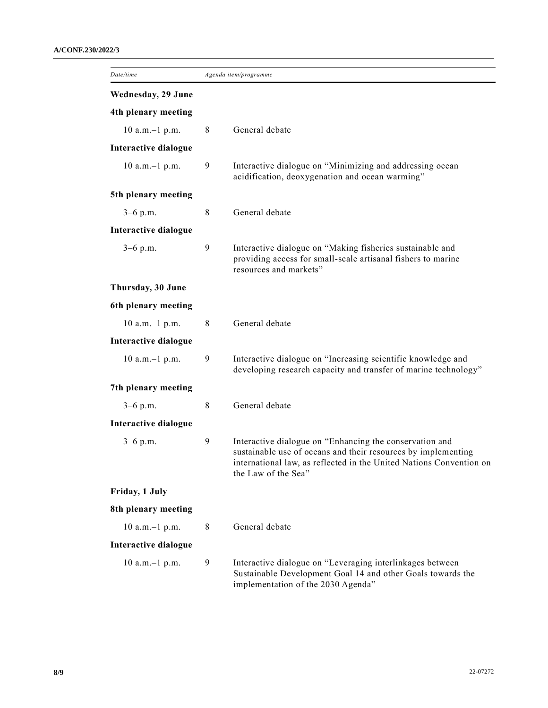| Date/time            | Agenda item/programme |                                                                                                                                                                                                                        |
|----------------------|-----------------------|------------------------------------------------------------------------------------------------------------------------------------------------------------------------------------------------------------------------|
| Wednesday, 29 June   |                       |                                                                                                                                                                                                                        |
| 4th plenary meeting  |                       |                                                                                                                                                                                                                        |
| $10$ a.m. $-1$ p.m.  | 8                     | General debate                                                                                                                                                                                                         |
| Interactive dialogue |                       |                                                                                                                                                                                                                        |
| $10$ a.m. $-1$ p.m.  | 9                     | Interactive dialogue on "Minimizing and addressing ocean<br>acidification, deoxygenation and ocean warming"                                                                                                            |
| 5th plenary meeting  |                       |                                                                                                                                                                                                                        |
| $3-6$ p.m.           | 8                     | General debate                                                                                                                                                                                                         |
| Interactive dialogue |                       |                                                                                                                                                                                                                        |
| $3-6$ p.m.           | 9                     | Interactive dialogue on "Making fisheries sustainable and<br>providing access for small-scale artisanal fishers to marine<br>resources and markets"                                                                    |
| Thursday, 30 June    |                       |                                                                                                                                                                                                                        |
| 6th plenary meeting  |                       |                                                                                                                                                                                                                        |
| $10$ a.m. $-1$ p.m.  | 8                     | General debate                                                                                                                                                                                                         |
| Interactive dialogue |                       |                                                                                                                                                                                                                        |
| $10$ a.m. $-1$ p.m.  | 9                     | Interactive dialogue on "Increasing scientific knowledge and<br>developing research capacity and transfer of marine technology"                                                                                        |
| 7th plenary meeting  |                       |                                                                                                                                                                                                                        |
| $3-6$ p.m.           | 8                     | General debate                                                                                                                                                                                                         |
| Interactive dialogue |                       |                                                                                                                                                                                                                        |
| $3-6$ p.m.           | 9                     | Interactive dialogue on "Enhancing the conservation and<br>sustainable use of oceans and their resources by implementing<br>international law, as reflected in the United Nations Convention on<br>the Law of the Sea" |
| Friday, 1 July       |                       |                                                                                                                                                                                                                        |
| 8th plenary meeting  |                       |                                                                                                                                                                                                                        |
| $10$ a.m. $-1$ p.m.  | 8                     | General debate                                                                                                                                                                                                         |
| Interactive dialogue |                       |                                                                                                                                                                                                                        |
| $10$ a.m. $-1$ p.m.  | 9                     | Interactive dialogue on "Leveraging interlinkages between<br>Sustainable Development Goal 14 and other Goals towards the<br>implementation of the 2030 Agenda"                                                         |